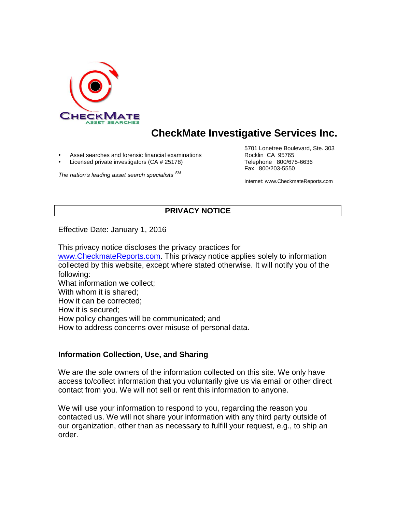

# **CheckMate Investigative Services Inc.**

Asset searches and forensic financial examinations **Rocklin CA 95765** 

Licensed private investigators (CA # 25178) Telephone 800/675-6636

*The nation's leading asset search specialists SM*

5701 Lonetree Boulevard, Ste. 303 Fax 800/203-5550

Internet: www.CheckmateReports.com

# **PRIVACY NOTICE**

Effective Date: January 1, 2016

This privacy notice discloses the privacy practices for [www.CheckmateReports.com.](http://www.checkmatereports.com/) This privacy notice applies solely to information collected by this website, except where stated otherwise. It will notify you of the following: What information we collect; With whom it is shared; How it can be corrected; How it is secured; How policy changes will be communicated; and

How to address concerns over misuse of personal data.

#### **Information Collection, Use, and Sharing**

We are the sole owners of the information collected on this site. We only have access to/collect information that you voluntarily give us via email or other direct contact from you. We will not sell or rent this information to anyone.

We will use your information to respond to you, regarding the reason you contacted us. We will not share your information with any third party outside of our organization, other than as necessary to fulfill your request, e.g., to ship an order.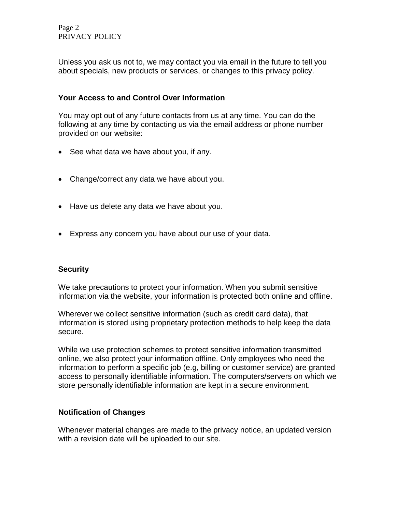Page 2 PRIVACY POLICY

Unless you ask us not to, we may contact you via email in the future to tell you about specials, new products or services, or changes to this privacy policy.

## **Your Access to and Control Over Information**

You may opt out of any future contacts from us at any time. You can do the following at any time by contacting us via the email address or phone number provided on our website:

- See what data we have about you, if any.
- Change/correct any data we have about you.
- Have us delete any data we have about you.
- Express any concern you have about our use of your data.

### **Security**

We take precautions to protect your information. When you submit sensitive information via the website, your information is protected both online and offline.

Wherever we collect sensitive information (such as credit card data), that information is stored using proprietary protection methods to help keep the data secure.

While we use protection schemes to protect sensitive information transmitted online, we also protect your information offline. Only employees who need the information to perform a specific job (e.g, billing or customer service) are granted access to personally identifiable information. The computers/servers on which we store personally identifiable information are kept in a secure environment.

### **Notification of Changes**

Whenever material changes are made to the privacy notice, an updated version with a revision date will be uploaded to our site.